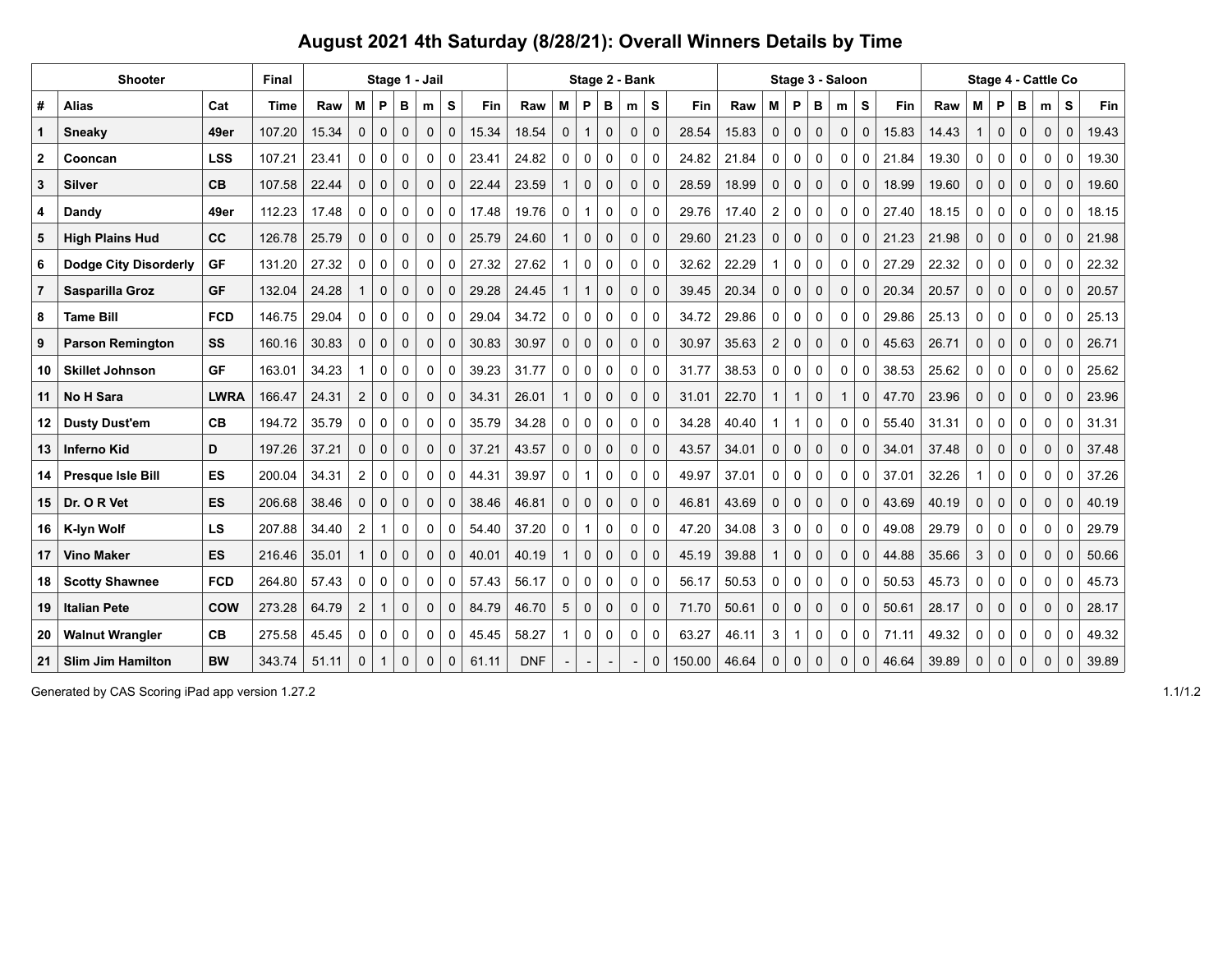## **August 2021 4th Saturday (8/28/21): Overall Winners Details by Time**

| <b>Shooter</b> |                              |             | Final       | Stage 1 - Jail |                |             |             | Stage 2 - Bank |             |       |            |              | Stage 3 - Saloon |              |             |             |        |       | Stage 4 - Cattle Co |              |             |              |              |       |       |          |              |             |              |             |       |
|----------------|------------------------------|-------------|-------------|----------------|----------------|-------------|-------------|----------------|-------------|-------|------------|--------------|------------------|--------------|-------------|-------------|--------|-------|---------------------|--------------|-------------|--------------|--------------|-------|-------|----------|--------------|-------------|--------------|-------------|-------|
| #              | <b>Alias</b>                 | Cat         | <b>Time</b> | Raw            | M              | P           | в           | m              | S           | Fin   | Raw        | M            | P                | в            | m           | S           | Fin    | Raw   | М                   | P            | в           | m            | S            | Fin   | Raw   | M        | P            | в           | m            | s           | Fin   |
|                | Sneaky                       | 49er        | 107.20      | 15.34          | $\Omega$       | $\mathbf 0$ | $\mathbf 0$ | $\mathbf 0$    | $\mathbf 0$ | 15.34 | 18.54      | $\mathbf 0$  | $\mathbf{1}$     | $\mathbf{0}$ | $\mathbf 0$ | $\mathbf 0$ | 28.54  | 15.83 | $\Omega$            | $\Omega$     | $\mathbf 0$ | $\mathbf 0$  | $\mathbf 0$  | 15.83 | 14.43 |          | $\mathbf 0$  | $\Omega$    | $\mathbf 0$  | $\mathbf 0$ | 19.43 |
| $\mathbf{2}$   | Cooncan                      | <b>LSS</b>  | 107.21      | 23.41          | $\Omega$       | 0           | 0           | 0              | 0           | 23.41 | 24.82      | 0            | 0                | 0            | 0           | 0           | 24.82  | 21.84 | 0                   | 0            | 0           | 0            | 0            | 21.84 | 19.30 | $\Omega$ | 0            | 0           | 0            | 0           | 19.30 |
| 3              | <b>Silver</b>                | CB          | 107.58      | 22.44          | 0              | 0           | 0           | $\mathbf 0$    | $\mathbf 0$ | 22.44 | 23.59      |              | $\mathbf 0$      | $\mathbf{0}$ | $\mathbf 0$ | $\mathbf 0$ | 28.59  | 18.99 | $\mathbf 0$         | $\mathbf 0$  | $\mathbf 0$ | $\mathbf 0$  | $\mathbf 0$  | 18.99 | 19.60 | 0        | 0            | 0           | $\mathbf 0$  | $\mathbf 0$ | 19.60 |
| 4              | Dandy                        | 49er        | 112.23      | 17.48          | 0              | 0           | 0           | 0              | 0           | 17.48 | 19.76      | 0            | $\mathbf{1}$     | 0            | 0           | $\Omega$    | 29.76  | 17.40 | 2                   | $\mathbf 0$  | $\mathbf 0$ | $\mathbf{0}$ | $\mathbf{0}$ | 27.40 | 18.15 | 0        | 0            | 0           | 0            | 0           | 18.15 |
| 5              | <b>High Plains Hud</b>       | cc          | 126.78      | 25.79          | O              | $\mathbf 0$ | $\Omega$    | $\mathbf{0}$   | $\Omega$    | 25.79 | 24.60      |              | $\mathbf{0}$     | $\Omega$     | $\mathbf 0$ | $\mathbf 0$ | 29.60  | 21.23 | $\Omega$            | $\Omega$     | $\Omega$    | $\Omega$     | $\mathbf{0}$ | 21.23 | 21.98 | $\Omega$ | $\mathbf 0$  | $\Omega$    | $\Omega$     | $\Omega$    | 21.98 |
| 6              | <b>Dodge City Disorderly</b> | <b>GF</b>   | 131.20      | 27.32          | 0              | 0           | 0           | 0              | $\mathbf 0$ | 27.32 | 27.62      |              | 0                | 0            | 0           | 0           | 32.62  | 22.29 |                     | $\mathbf 0$  | $\mathbf 0$ | $\mathbf 0$  | 0            | 27.29 | 22.32 | 0        | 0            | 0           | 0            | 0           | 22.32 |
| $\overline{7}$ | Sasparilla Groz              | <b>GF</b>   | 132.04      | 24.28          |                | $\mathbf 0$ | $\mathbf 0$ | $\mathbf 0$    | 0           | 29.28 | 24.45      |              | $\mathbf{1}$     | 0            | 0           | 0           | 39.45  | 20.34 | $\mathbf 0$         | $\mathbf 0$  | $\mathbf 0$ | $\mathbf 0$  | $\mathbf 0$  | 20.34 | 20.57 | 0        | $\mathbf 0$  | $\mathbf 0$ | $\mathbf 0$  | $\mathbf 0$ | 20.57 |
| 8              | <b>Tame Bill</b>             | <b>FCD</b>  | 146.75      | 29.04          | $\Omega$       | 0           | 0           | $\mathbf{0}$   | $\Omega$    | 29.04 | 34.72      | $\Omega$     | 0                | $\Omega$     | $\mathbf 0$ | $\Omega$    | 34.72  | 29.86 | $\Omega$            | $\mathbf{0}$ | $\Omega$    | $\Omega$     | $\Omega$     | 29.86 | 25.13 | 0        | $\mathbf 0$  | $\Omega$    | $\Omega$     | $\Omega$    | 25.13 |
| 9              | <b>Parson Remington</b>      | SS          | 160.16      | 30.83          | $\Omega$       | $\mathbf 0$ | $\mathbf 0$ | $\mathbf 0$    | $\Omega$    | 30.83 | 30.97      | $\mathbf 0$  | $\mathbf 0$      | $\mathbf{0}$ | $\mathbf 0$ | $\mathbf 0$ | 30.97  | 35.63 | 2                   | $\mathbf 0$  | $\mathbf 0$ | $\mathbf 0$  | $\mathbf 0$  | 45.63 | 26.71 | 0        | $\mathbf 0$  | $\mathbf 0$ | $\mathbf 0$  | $\mathbf 0$ | 26.71 |
| 10             | <b>Skillet Johnson</b>       | <b>GF</b>   | 163.01      | 34.23          |                | 0           | 0           | 0              | 0           | 39.23 | 31.77      | 0            | 0                | 0            | 0           | 0           | 31.77  | 38.53 | 0                   | $\mathbf 0$  | $\mathbf 0$ | $\mathbf 0$  | 0            | 38.53 | 25.62 | $\Omega$ | 0            | 0           | $\Omega$     | $\Omega$    | 25.62 |
| 11             | <b>No H Sara</b>             | <b>LWRA</b> | 166.47      | 24.31          | $\overline{2}$ | 0           | $\mathbf 0$ | $\mathbf 0$    | $\mathbf 0$ | 34.31 | 26.01      |              | $\mathbf 0$      | $\mathbf{0}$ | $\mathbf 0$ | $\mathbf 0$ | 31.01  | 22.70 | $\overline{1}$      |              | $\mathbf 0$ |              | $\mathbf 0$  | 47.70 | 23.96 | 0        | 0            | 0           | $\mathbf 0$  | $\mathbf 0$ | 23.96 |
| 12.            | <b>Dusty Dust'em</b>         | CB          | 194.72      | 35.79          | 0              | 0           | 0           | $\mathbf{0}$   | $\Omega$    | 35.79 | 34.28      | $\Omega$     | 0                | 0            | 0           | $\Omega$    | 34.28  | 40.40 |                     |              | $\Omega$    | $\mathbf{0}$ | $\mathbf{0}$ | 55.40 | 31.31 | 0        | 0            | $\Omega$    | 0            | $\Omega$    | 31.31 |
| 13             | Inferno Kid                  | D           | 197.26      | 37.21          | $\Omega$       | $\Omega$    | $\Omega$    | $\Omega$       | $\Omega$    | 37.21 | 43.57      | $\Omega$     | $\mathbf 0$      | $\Omega$     | $\mathbf 0$ | $\mathbf 0$ | 43.57  | 34.01 | $\Omega$            | $\Omega$     | $\Omega$    | $\Omega$     | $\Omega$     | 34.01 | 37.48 | $\Omega$ | $\Omega$     | $\Omega$    | $\Omega$     | $\Omega$    | 37.48 |
| 14             | <b>Presque Isle Bill</b>     | <b>ES</b>   | 200.04      | 34.31          | 2              | 0           | 0           | 0              | 0           | 44.31 | 39.97      | 0            | $\mathbf{1}$     | 0            | 0           | 0           | 49.97  | 37.01 | 0                   | 0            | 0           | 0            | $\mathbf 0$  | 37.01 | 32.26 |          | 0            | 0           | 0            | $\mathbf 0$ | 37.26 |
| 15             | Dr. O R Vet                  | <b>ES</b>   | 206.68      | 38.46          | 0              | $\mathbf 0$ | $\mathbf 0$ | $\mathbf 0$    | $\mathbf 0$ | 38.46 | 46.81      | $\mathbf{0}$ | $\mathbf 0$      | $\mathbf{0}$ | $\mathbf 0$ | $\mathbf 0$ | 46.81  | 43.69 | $\mathbf 0$         | $\mathbf 0$  | $\mathbf 0$ | $\mathbf 0$  | $\mathbf 0$  | 43.69 | 40.19 | 0        | $\mathbf{0}$ | $\mathbf 0$ | $\mathbf 0$  | $\mathbf 0$ | 40.19 |
| 16             | K-lyn Wolf                   | <b>LS</b>   | 207.88      | 34.40          | 2              |             | 0           | $\mathbf{0}$   | $\Omega$    | 54.40 | 37.20      | 0            | $\mathbf{1}$     | 0            | 0           | $\mathbf 0$ | 47.20  | 34.08 | 3                   | $\mathbf 0$  | $\mathbf 0$ | $\mathbf{0}$ | $\mathbf{0}$ | 49.08 | 29.79 | 0        | $\mathbf 0$  | $\Omega$    | $\Omega$     | $\Omega$    | 29.79 |
| 17             | <b>Vino Maker</b>            | <b>ES</b>   | 216.46      | 35.01          |                | $\mathbf 0$ | $\mathbf 0$ | $\mathbf{0}$   | $\Omega$    | 40.01 | 40.19      |              | $\mathbf 0$      | $\Omega$     | $\mathbf 0$ | $\mathbf 0$ | 45.19  | 39.88 |                     | $\Omega$     | $\Omega$    | $\mathbf{0}$ | $\Omega$     | 44.88 | 35.66 | 3        | $\mathbf 0$  | $\mathbf 0$ | $\mathbf{0}$ | $\Omega$    | 50.66 |
| 18             | <b>Scotty Shawnee</b>        | <b>FCD</b>  | 264.80      | 57.43          | 0              | 0           | 0           | 0              | $\Omega$    | 57.43 | 56.17      | 0            | 0                | 0            | 0           | 0           | 56.17  | 50.53 | $\Omega$            | 0            | 0           | 0            | 0            | 50.53 | 45.73 | 0        | 0            | 0           | 0            | $\Omega$    | 45.73 |
| 19             | <b>Italian Pete</b>          | <b>COW</b>  | 273.28      | 64.79          | $\overline{2}$ |             | $\mathbf 0$ | $\mathbf 0$    | $\mathbf 0$ | 84.79 | 46.70      | 5            | $\mathbf 0$      | 0            | 0           | $\mathbf 0$ | 71.70  | 50.61 | $\mathbf 0$         | $\mathbf 0$  | $\mathbf 0$ | $\mathbf 0$  | $\mathbf 0$  | 50.61 | 28.17 | 0        | $\mathbf 0$  | $\mathbf 0$ | $\mathbf 0$  | $\mathbf 0$ | 28.17 |
| 20             | <b>Walnut Wrangler</b>       | CB          | 275.58      | 45.45          | $\Omega$       | 0           | 0           | $\mathbf{0}$   | $\Omega$    | 45.45 | 58.27      |              | 0                | 0            | $\mathbf 0$ | 0           | 63.27  | 46.11 | 3                   |              | $\Omega$    | $\Omega$     | 0            | 71.11 | 49.32 | $\Omega$ | 0            | 0           | $\mathbf{0}$ | $\Omega$    | 49.32 |
| 21             | <b>Slim Jim Hamilton</b>     | <b>BW</b>   | 343.74      | 51.11          | $\Omega$       |             | $\Omega$    | $\Omega$       | $\Omega$    | 61.11 | <b>DNF</b> |              |                  |              |             | $\Omega$    | 150.00 | 46.64 | $\Omega$            | $\Omega$     | $\Omega$    | $\Omega$     | $\Omega$     | 46.64 | 39.89 | $\Omega$ | $\Omega$     | $\Omega$    | 0            | $\Omega$    | 39.89 |

Generated by CAS Scoring iPad app version 1.27.2 1.1/1.2